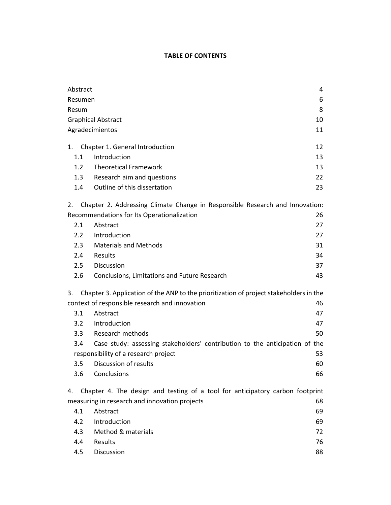## **TABLE OF CONTENTS**

| Abstract                                                                                     |                                                                               | 4  |  |
|----------------------------------------------------------------------------------------------|-------------------------------------------------------------------------------|----|--|
| Resumen                                                                                      |                                                                               | 6  |  |
| Resum                                                                                        |                                                                               | 8  |  |
| <b>Graphical Abstract</b>                                                                    |                                                                               | 10 |  |
| Agradecimientos                                                                              |                                                                               |    |  |
| 1.                                                                                           | Chapter 1. General Introduction                                               | 12 |  |
| 1.1                                                                                          | Introduction                                                                  | 13 |  |
| 1.2                                                                                          | <b>Theoretical Framework</b>                                                  | 13 |  |
| 1.3                                                                                          | Research aim and questions                                                    | 22 |  |
| 1.4                                                                                          | Outline of this dissertation                                                  | 23 |  |
| Chapter 2. Addressing Climate Change in Responsible Research and Innovation:<br>2.           |                                                                               |    |  |
| Recommendations for Its Operationalization<br>26                                             |                                                                               |    |  |
| 2.1                                                                                          | Abstract                                                                      | 27 |  |
| $2.2^{\circ}$                                                                                | Introduction                                                                  | 27 |  |
| 2.3                                                                                          | <b>Materials and Methods</b>                                                  | 31 |  |
| 2.4                                                                                          | Results                                                                       | 34 |  |
| 2.5                                                                                          | Discussion                                                                    | 37 |  |
| 2.6                                                                                          | Conclusions, Limitations and Future Research                                  | 43 |  |
| Chapter 3. Application of the ANP to the prioritization of project stakeholders in the<br>3. |                                                                               |    |  |
| context of responsible research and innovation<br>46                                         |                                                                               |    |  |
| 3.1                                                                                          | Abstract                                                                      | 47 |  |
| 3.2                                                                                          | Introduction                                                                  | 47 |  |
| 3.3 <sub>2</sub>                                                                             | Research methods                                                              | 50 |  |
| 3.4                                                                                          | Case study: assessing stakeholders' contribution to the anticipation of the   |    |  |
| responsibility of a research project<br>53                                                   |                                                                               |    |  |
| 3.5                                                                                          | Discussion of results                                                         | 60 |  |
| 3.6                                                                                          | Conclusions                                                                   | 66 |  |
| 4.                                                                                           | Chapter 4. The design and testing of a tool for anticipatory carbon footprint |    |  |
|                                                                                              | measuring in research and innovation projects                                 | 68 |  |
| 4.1                                                                                          | Abstract                                                                      | 69 |  |
| 4.2                                                                                          | Introduction                                                                  | 69 |  |
| 4.3                                                                                          | Method & materials                                                            | 72 |  |
| 4.4                                                                                          | Results                                                                       | 76 |  |
| 4.5                                                                                          | Discussion                                                                    | 88 |  |